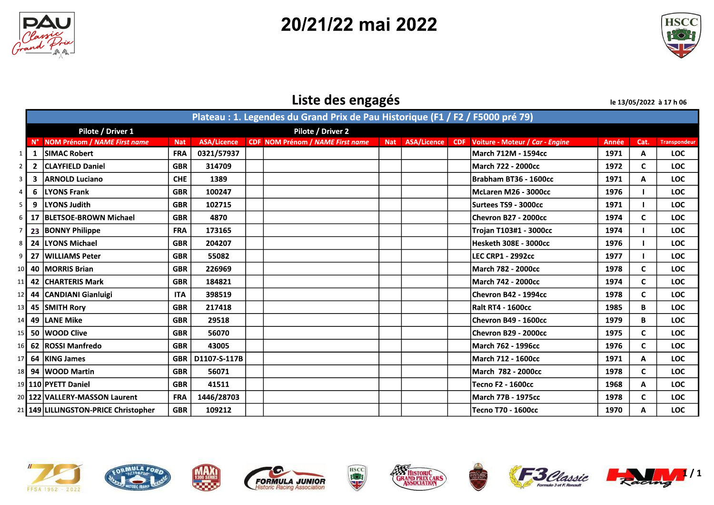



| Classic<br>Classic                                   |                          |                 | 20/21/22 mai 2022                                                              |  |                                                          |              |              | <b>HSCC</b><br>70       |
|------------------------------------------------------|--------------------------|-----------------|--------------------------------------------------------------------------------|--|----------------------------------------------------------|--------------|--------------|-------------------------|
|                                                      |                          |                 | Liste des engagés                                                              |  |                                                          |              |              | le 13/05/2022 à 17 h 06 |
|                                                      |                          |                 | Plateau : 1. Legendes du Grand Prix de Pau Historique (F1 / F2 / F5000 pré 79) |  |                                                          |              |              |                         |
| Pilote / Driver 1<br>N° NOM Prénom / NAME First name | <b>Nat</b>               |                 | Pilote / Driver 2<br>ASA/Licence CDF NOM Prénom / NAME First name              |  | Nat ASA/Licence CDF Voiture - Moteur / Car - Engine      | Année        |              | Cat. Transpondeur       |
| <b>SIMAC Robert</b><br>1                             | <b>FRA</b>               | 0321/57937      |                                                                                |  | March 712M - 1594cc                                      | 1971         | $\mathsf{A}$ | LOC                     |
| <b>CLAYFIELD Daniel</b><br>$\overline{2}$            | <b>GBR</b>               | 314709          |                                                                                |  | March 722 - 2000cc                                       | 1972         | $\mathsf{C}$ | <b>LOC</b>              |
| <b>ARNOLD Luciano</b><br>$\overline{\mathbf{3}}$     | <b>CHE</b>               | 1389            |                                                                                |  | Brabham BT36 - 1600cc                                    | 1971         | A            | <b>LOC</b>              |
| 6<br><b>LYONS Frank</b>                              | <b>GBR</b>               | 100247          |                                                                                |  | McLaren M26 - 3000cc                                     | 1976         |              | <b>LOC</b>              |
| LYONS Judith<br>9                                    | <b>GBR</b>               | 102715          |                                                                                |  | Surtees TS9 - 3000cc                                     | 1971         |              | <b>LOC</b>              |
| 17 BLETSOE-BROWN Michael                             | <b>GBR</b>               | 4870            |                                                                                |  | Chevron B27 - 2000cc                                     | 1974         | $\mathsf{C}$ | <b>LOC</b>              |
| 7 23 BONNY Philippe                                  | <b>FRA</b>               | 173165          |                                                                                |  | Trojan T103#1 - 3000cc                                   | 1974         |              | <b>LOC</b>              |
| 8 24 LYONS Michael                                   | <b>GBR</b><br><b>GBR</b> | 204207<br>55082 |                                                                                |  | <b>Hesketh 308E - 3000cc</b><br><b>LEC CRP1 - 2992cc</b> | 1976         | $\mathbf{I}$ | LOC<br><b>LOC</b>       |
| 9 27 WILLIAMS Peter<br>10 40 MORRIS Brian            | <b>GBR</b>               | 226969          |                                                                                |  | <b>March 782 - 2000cc</b>                                | 1977<br>1978 | $\mathsf{C}$ | <b>LOC</b>              |
| 11 42 CHARTERIS Mark                                 | <b>GBR</b>               | 184821          |                                                                                |  | March 742 - 2000cc                                       | 1974         | $\mathsf{C}$ | LOC                     |
| 12 44 CANDIANI Gianluigi                             | <b>ITA</b>               | 398519          |                                                                                |  | Chevron B42 - 1994cc                                     | 1978         | $\mathsf{C}$ | LOC                     |
| 13 45 SMITH Rory                                     | <b>GBR</b>               | 217418          |                                                                                |  | <b>Ralt RT4 - 1600cc</b>                                 | 1985         | B            | <b>LOC</b>              |
| 14 49 LANE Mike                                      | <b>GBR</b>               | 29518           |                                                                                |  | Chevron B49 - 1600cc                                     | 1979         | B            | <b>LOC</b>              |
| 15 50 WOOD Clive                                     | <b>GBR</b>               | 56070           |                                                                                |  | Chevron B29 - 2000cc                                     | 1975         | $\mathsf{C}$ | <b>LOC</b>              |
| 16 62 ROSSI Manfredo                                 | <b>GBR</b>               | 43005           |                                                                                |  | March 762 - 1996cc                                       | 1976         | $\mathbf{C}$ | <b>LOC</b>              |
| 17 64 KING James                                     | <b>GBR</b>               | D1107-S-117B    |                                                                                |  | March 712 - 1600cc                                       | 1971         | $\mathbf{A}$ | <b>LOC</b>              |
| 18 94 WOOD Martin                                    | <b>GBR</b>               | 56071           |                                                                                |  | March 782 - 2000cc                                       | 1978         | $\mathsf{C}$ | LOC                     |
| 19 110 PYETT Daniel                                  | <b>GBR</b>               | 41511           |                                                                                |  | Tecno F2 - 1600cc                                        | 1968         | $\mathbf{A}$ | <b>LOC</b>              |
| 20 122 VALLERY-MASSON Laurent                        | <b>FRA</b>               | 1446/28703      |                                                                                |  | <b>March 77B - 1975cc</b>                                | 1978         | $\mathsf{C}$ | LOC                     |
| 21 149 LILLINGSTON-PRICE Christopher                 | <b>GBR</b>               | 109212          |                                                                                |  | Tecno T70 - 1600cc                                       | 1970         | A            | LOC                     |















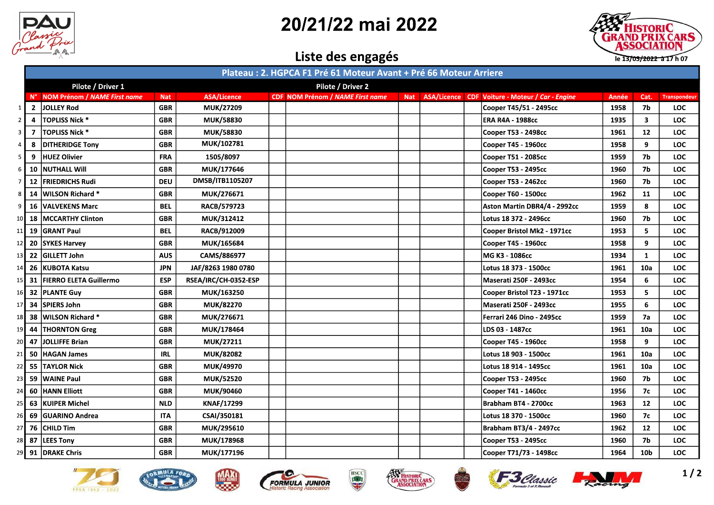



|                | Paris<br>Clarrier                                 |                                    |                           | 20/21/22 mai 2022                                                 |  |                                                     |              | <b>ASSOCIATION</b> | <b>EXT HISTORIC<br/>GRAND PRIX CARS</b> |
|----------------|---------------------------------------------------|------------------------------------|---------------------------|-------------------------------------------------------------------|--|-----------------------------------------------------|--------------|--------------------|-----------------------------------------|
|                |                                                   |                                    |                           | Liste des engagés                                                 |  |                                                     |              |                    | le 13/05/2022 à 17 h 07                 |
|                |                                                   |                                    |                           | Plateau : 2. HGPCA F1 Pré 61 Moteur Avant + Pré 66 Moteur Arriere |  |                                                     |              |                    |                                         |
| N'             | Pilote / Driver 1<br>NOM Prénom / NAME First name | <b>Nat</b>                         | <b>ASA/Licence</b>        | Pilote / Driver 2<br>CDF NOM Prénom / NAME First name             |  | Nat ASA/Licence CDF Voiture - Moteur / Car - Engine | Année        | Cat.               | Transpondeu                             |
| $\overline{2}$ | <b>JOLLEY Rod</b>                                 | <b>GBR</b>                         | MUK/27209                 |                                                                   |  | Cooper T45/51 - 2495cc                              | 1958         | 7b                 | LOC                                     |
| 4              | <b>TOPLISS Nick *</b>                             | <b>GBR</b>                         | <b>MUK/58830</b>          |                                                                   |  | <b>ERA R4A - 1988cc</b>                             | 1935         | $\mathbf{3}$       | <b>LOC</b>                              |
|                | <b>TOPLISS Nick *</b>                             | <b>GBR</b>                         | <b>MUK/58830</b>          |                                                                   |  | Cooper T53 - 2498cc                                 | 1961         | 12                 | <b>LOC</b>                              |
| 8              | <b>DITHERIDGE Tony</b>                            | <b>GBR</b>                         | MUK/102781                |                                                                   |  | Cooper T45 - 1960cc                                 | 1958         | 9                  | <b>LOC</b>                              |
| 9              | <b>HUEZ Olivier</b>                               | <b>FRA</b>                         | 1505/8097                 |                                                                   |  | Cooper T51 - 2085cc                                 | 1959         | <b>7b</b>          | <b>LOC</b>                              |
|                | 6   10   NUTHALL Will                             | <b>GBR</b>                         | MUK/177646                |                                                                   |  | Cooper T53 - 2495cc                                 | 1960         | 7b                 | LOC                                     |
|                | 12   FRIEDRICHS Rudi                              | <b>DEU</b>                         | DMSB/ITB1105207           |                                                                   |  | <b>Cooper T53 - 2462cc</b>                          | 1960         | 7b                 | <b>LOC</b>                              |
| 14             | <b>WILSON Richard *</b>                           | <b>GBR</b>                         | MUK/276671                |                                                                   |  | Cooper T60 - 1500cc                                 | 1962         | 11                 | LOC                                     |
|                | 9 16 VALVEKENS Marc                               | <b>BEL</b>                         | RACB/579723               |                                                                   |  | Aston Martin DBR4/4 - 2992cc                        | 1959         | 8                  | <b>LOC</b>                              |
|                | 18 MCCARTHY Clinton                               | <b>GBR</b>                         | MUK/312412                |                                                                   |  | Lotus 18 372 - 2496cc                               | 1960         | <b>7b</b>          | <b>LOC</b>                              |
|                | 11 19 GRANT Paul                                  | <b>BEL</b>                         | RACB/912009               |                                                                   |  | Cooper Bristol Mk2 - 1971cc                         | 1953         | -5                 | <b>LOC</b>                              |
|                | 12 20 SYKES Harvey<br>13 22 GILLETT John          | <b>GBR</b><br><b>AUS</b>           | MUK/165684<br>CAMS/886977 |                                                                   |  | Cooper T45 - 1960cc<br>MG K3 - 1086cc               | 1958<br>1934 | 9<br>$\mathbf{1}$  | <b>LOC</b><br>LOC                       |
|                | 14 26 KUBOTA Katsu                                | <b>JPN</b>                         | JAF/8263 1980 0780        |                                                                   |  | Lotus 18 373 - 1500cc                               | 1961         | 10a                | LOC                                     |
|                | 15 31 FIERRO ELETA Guillermo                      | <b>ESP</b>                         | RSEA/IRC/CH-0352-ESP      |                                                                   |  | Maserati 250F - 2493cc                              | 1954         | 6                  | LOC                                     |
|                | 16 32 PLANTE Guy                                  | <b>GBR</b>                         | MUK/163250                |                                                                   |  | Cooper Bristol T23 - 1971cc                         | 1953         | 5 <sub>5</sub>     | <b>LOC</b>                              |
|                | 17 34 SPIERS John                                 | <b>GBR</b>                         | <b>MUK/82270</b>          |                                                                   |  | Maserati 250F - 2493cc                              | 1955         | 6                  | LOC                                     |
|                | 18 38 WILSON Richard *                            | <b>GBR</b>                         | MUK/276671                |                                                                   |  | Ferrari 246 Dino - 2495cc                           | 1959         | <b>7a</b>          | <b>LOC</b>                              |
|                | 19 44 THORNTON Greg                               | <b>GBR</b>                         | MUK/178464                |                                                                   |  | LDS 03 - 1487cc                                     | 1961         | 10a                | LOC                                     |
|                | 47 JOLLIFFE Brian                                 | <b>GBR</b>                         | <b>MUK/27211</b>          |                                                                   |  | Cooper T45 - 1960cc                                 | 1958         | 9                  | LOC                                     |
|                | 21 50 HAGAN James                                 | $\ensuremath{\mathsf{IRL}}\xspace$ | <b>MUK/82082</b>          |                                                                   |  | Lotus 18 903 - 1500cc                               | 1961         | 10a                | LOC                                     |
|                | 22 55 TAYLOR Nick                                 | <b>GBR</b>                         | <b>MUK/49970</b>          |                                                                   |  | Lotus 18 914 - 1495cc                               | 1961         | 10a                | <b>LOC</b>                              |
|                | 23 59 WAINE Paul                                  | <b>GBR</b>                         | <b>MUK/52520</b>          |                                                                   |  | Cooper T53 - 2495cc                                 | 1960         | <b>7b</b>          | LOC                                     |
|                | 24 60 HANN Elliott                                | <b>GBR</b>                         | <b>MUK/90460</b>          |                                                                   |  | Cooper T41 - 1460cc                                 | 1956         | 7c                 | LOC                                     |
|                | 25 63 KUIPER Michel                               | <b>NLD</b>                         | KNAF/17299                |                                                                   |  | Brabham BT4 - 2700cc                                | 1963         | 12                 | LOC                                     |
|                | 26 69 GUARINO Andrea                              | <b>ITA</b>                         | CSAI/350181               |                                                                   |  | Lotus 18 370 - 1500cc                               | 1960         | <b>7c</b>          | <b>LOC</b>                              |
|                | 27 76 CHILD Tim                                   | <b>GBR</b>                         | MUK/295610                |                                                                   |  | Brabham BT3/4 - 2497cc                              | 1962         | 12                 | LOC                                     |
|                | 28 87 LEES Tony<br>29 91 DRAKE Chris              | <b>GBR</b><br><b>GBR</b>           | MUK/178968<br>MUK/177196  |                                                                   |  | Cooper T53 - 2495cc<br>Cooper T71/73 - 1498cc       | 1960<br>1964 | 7b<br>10b          | LOC<br>LOC                              |













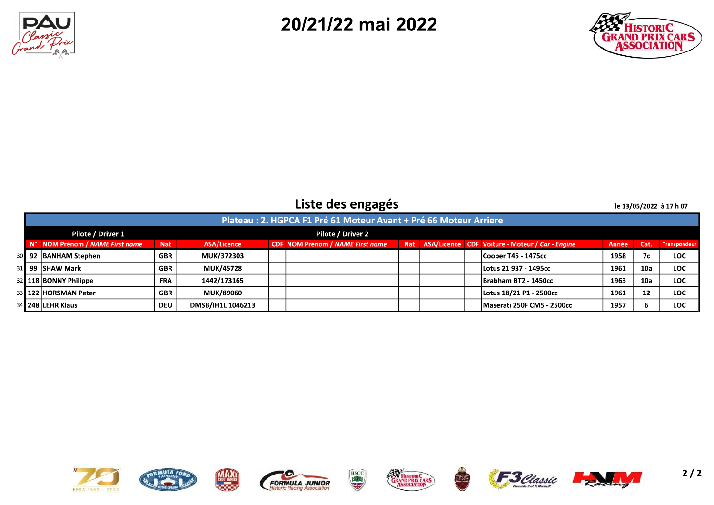



### Liste des engagés

le 13/05/2022 à 17 h 07

|  |                              |            |                    | Plateau : 2. HGPCA F1 Pré 61 Moteur Avant + Pré 66 Moteur Arriere |  |                                                     |       |      |                     |
|--|------------------------------|------------|--------------------|-------------------------------------------------------------------|--|-----------------------------------------------------|-------|------|---------------------|
|  | Pilote / Driver 1            |            |                    | Pilote / Driver 2                                                 |  |                                                     |       |      |                     |
|  | NOM Prénom / NAME First name | <b>Nat</b> | <b>ASA/Licence</b> | <b>CDF NOM Prénom / NAME First name</b>                           |  | Nat ASA/Licence CDF Voiture - Moteur / Car - Engine | Année | Cat. | <b>Transpondeur</b> |
|  | 30 92 BANHAM Stephen         | <b>GBR</b> | <b>MUK/372303</b>  |                                                                   |  | Cooper T45 - 1475cc                                 | 1958  |      | <b>LOC</b>          |
|  | 31 99 ISHAW Mark             | <b>GBR</b> | <b>MUK/45728</b>   |                                                                   |  | Lotus 21 937 - 1495cc                               | 1961  | 10a  | LOC                 |
|  | 32 118 BONNY Philippe        | <b>FRA</b> | 1442/173165        |                                                                   |  | Brabham BT2 - 1450cc                                | 1963  | 10a  | <b>LOC</b>          |
|  | 33 122 HORSMAN Peter         | <b>GBR</b> | <b>MUK/89060</b>   |                                                                   |  | Lotus 18/21 P1 - 2500cc                             | 1961  | 12   | <b>LOC</b>          |
|  | 34 248 LEHR Klaus            | <b>DEU</b> | DMSB/IH1L 1046213  |                                                                   |  | Maserati 250F CM5 - 2500cc                          | 1957  |      | <b>LOC</b>          |















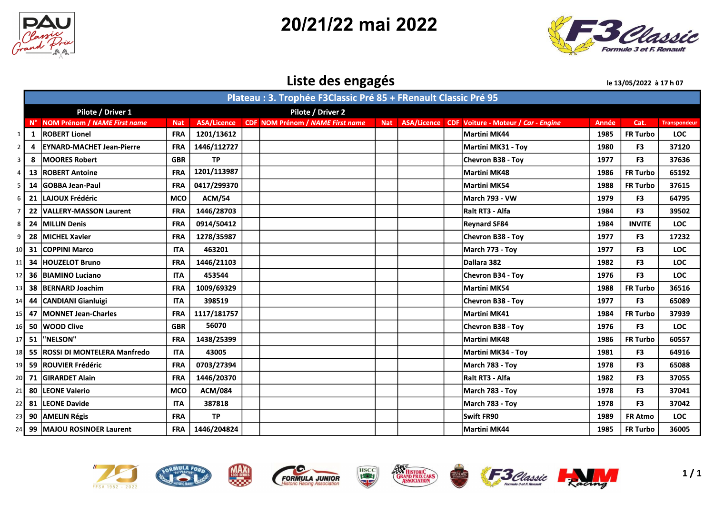



Liste des engagés

le 13/05/2022 à 17 h 07

|                |   |                                   |            |                    | Plateau : 3. Trophée F3Classic Pré 85 + FRenault Classic Pré 95 |  |                                                     |       |                 |                     |
|----------------|---|-----------------------------------|------------|--------------------|-----------------------------------------------------------------|--|-----------------------------------------------------|-------|-----------------|---------------------|
|                |   | Pilote / Driver 1                 |            |                    | <b>Pilote / Driver 2</b>                                        |  |                                                     |       |                 |                     |
|                |   | N° NOM Prénom / NAME First name   | <b>Nat</b> | <b>ASA/Licence</b> | CDF NOM Prénom / NAME First name                                |  | Nat ASA/Licence CDF Voiture - Moteur / Car - Engine | Année | Cat.            | <b>Transpondeur</b> |
|                | 1 | <b>ROBERT Lionel</b>              | <b>FRA</b> | 1201/13612         |                                                                 |  | Martini MK44                                        | 1985  | <b>FR Turbo</b> | <b>LOC</b>          |
| 2 <sub>1</sub> | 4 | <b>IEYNARD-MACHET Jean-Pierre</b> | <b>FRA</b> | 1446/112727        |                                                                 |  | Martini MK31 - Tov                                  | 1980  | F <sub>3</sub>  | 37120               |
| 3 <sub>1</sub> | 8 | <b>IMOORES Robert</b>             | <b>GBR</b> | <b>TP</b>          |                                                                 |  | Chevron B38 - Toy                                   | 1977  | F3              | 37636               |
| $4 \mid$       |   | 13  ROBERT Antoine                | <b>FRA</b> | 1201/113987        |                                                                 |  | Martini MK48                                        | 1986  | <b>FR Turbo</b> | 65192               |
| 5 <sub>1</sub> |   | 14 IGOBBA Jean-Paul               | <b>FRA</b> | 0417/299370        |                                                                 |  | Martini MK54                                        | 1988  | <b>FR Turbo</b> | 37615               |
| 6 I            |   | 21 LAJOUX Frédéric                | <b>MCO</b> | <b>ACM/54</b>      |                                                                 |  | March 793 - VW                                      | 1979  | F3              | 64795               |
|                |   | 22 VALLERY-MASSON Laurent         | <b>FRA</b> | 1446/28703         |                                                                 |  | Ralt RT3 - Alfa                                     | 1984  | F3              | 39502               |
| 8 I            |   | 24 MILLIN Denis                   | <b>FRA</b> | 0914/50412         |                                                                 |  | <b>Reynard SF84</b>                                 | 1984  | <b>INVITE</b>   | <b>LOC</b>          |
| 9 <sup>1</sup> |   | 28 MICHEL Xavier                  | <b>FRA</b> | 1278/35987         |                                                                 |  | Chevron B38 - Toy                                   | 1977  | F3              | 17232               |
|                |   | 10 31 COPPINI Marco               | <b>ITA</b> | 463201             |                                                                 |  | March 773 - Toy                                     | 1977  | F3              | <b>LOC</b>          |
|                |   | 11 34 HOUZELOT Bruno              | <b>FRA</b> | 1446/21103         |                                                                 |  | Dallara 382                                         | 1982  | F3              | <b>LOC</b>          |
|                |   | 12 36 BIAMINO Luciano             | <b>ITA</b> | 453544             |                                                                 |  | Chevron B34 - Toy                                   | 1976  | F3              | <b>LOC</b>          |
|                |   | 13 38 BERNARD Joachim             | <b>FRA</b> | 1009/69329         |                                                                 |  | Martini MK54                                        | 1988  | <b>FR Turbo</b> | 36516               |
|                |   | 14 44 CANDIANI Gianluigi          | <b>ITA</b> | 398519             |                                                                 |  | Chevron B38 - Toy                                   | 1977  | F3              | 65089               |
|                |   | 15 47 MONNET Jean-Charles         | <b>FRA</b> | 1117/181757        |                                                                 |  | Martini MK41                                        | 1984  | <b>FR Turbo</b> | 37939               |
|                |   | 16 50 WOOD Clive                  | <b>GBR</b> | 56070              |                                                                 |  | Chevron B38 - Toy                                   | 1976  | F3              | <b>LOC</b>          |
|                |   | 17 51 <i>"NELSON"</i>             | <b>FRA</b> | 1438/25399         |                                                                 |  | Martini MK48                                        | 1986  | <b>FR Turbo</b> | 60557               |
|                |   | 18 55 ROSSI DI MONTELERA Manfredo | <b>ITA</b> | 43005              |                                                                 |  | Martini MK34 - Toy                                  | 1981  | F3              | 64916               |
|                |   | 19 59 ROUVIER Frédéric            | <b>FRA</b> | 0703/27394         |                                                                 |  | March 783 - Toy                                     | 1978  | F3              | 65088               |
|                |   | 20 71 GIRARDET Alain              | <b>FRA</b> | 1446/20370         |                                                                 |  | Ralt RT3 - Alfa                                     | 1982  | F <sub>3</sub>  | 37055               |
|                |   | 21 80 LEONE Valerio               | <b>MCO</b> | <b>ACM/084</b>     |                                                                 |  | March 783 - Toy                                     | 1978  | F3              | 37041               |
|                |   | 22 81 LEONE Davide                | <b>ITA</b> | 387818             |                                                                 |  | March 783 - Toy                                     | 1978  | F3              | 37042               |
|                |   | 23 90 AMELIN Régis                | <b>FRA</b> | <b>TP</b>          |                                                                 |  | Swift FR90                                          | 1989  | <b>FR Atmo</b>  | <b>LOC</b>          |
|                |   | 24 99 MAJOU ROSINOER Laurent      | <b>FRA</b> | 1446/204824        |                                                                 |  | Martini MK44                                        | 1985  | <b>FR Turbo</b> | 36005               |









 $\overline{\mathbf{u}}$ 



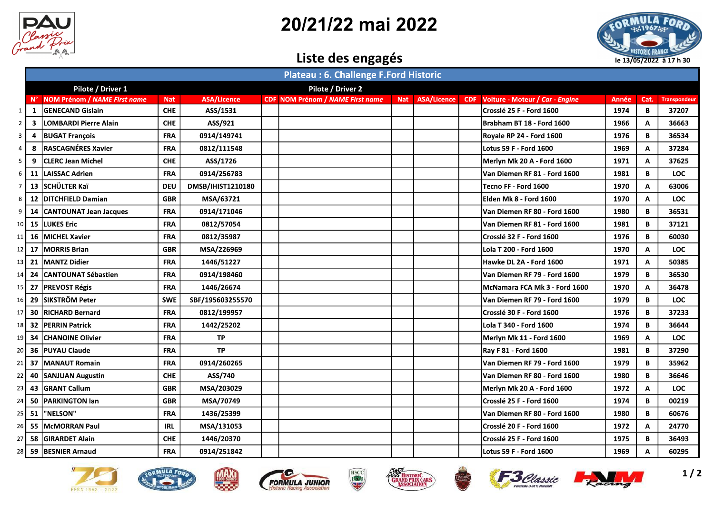

### Liste des engagés



|                |         |                                 |            |                    | Plateau: 6. Challenge F.Ford Historic   |  |                                                     |       |      |                     |
|----------------|---------|---------------------------------|------------|--------------------|-----------------------------------------|--|-----------------------------------------------------|-------|------|---------------------|
|                |         | Pilote / Driver 1               |            |                    | Pilote / Driver 2                       |  |                                                     |       |      |                     |
|                |         | N° NOM Prénom / NAME First name | <b>Nat</b> | <b>ASA/Licence</b> | <b>CDF NOM Prénom / NAME First name</b> |  | Nat ASA/Licence CDF Voiture - Moteur / Car - Engine | Année | Cat. | <b>Transpondeur</b> |
|                | 1       | <b>GENECAND Gislain</b>         | <b>CHE</b> | ASS/1531           |                                         |  | Crosslé 25 F - Ford 1600                            | 1974  | B    | 37207               |
| 2 <sub>1</sub> | -3      | <b>LOMBARDI Pierre Alain</b>    | <b>CHE</b> | ASS/921            |                                         |  | Brabham BT 18 - Ford 1600                           | 1966  | A    | 36663               |
| 3 <sup>1</sup> | 4       | <b>BUGAT François</b>           | <b>FRA</b> | 0914/149741        |                                         |  | Royale RP 24 - Ford 1600                            | 1976  | B    | 36534               |
| $\overline{4}$ | 8       | <b>RASCAGNÉRES Xavier</b>       | <b>FRA</b> | 0812/111548        |                                         |  | Lotus 59 F - Ford 1600                              | 1969  | A    | 37284               |
| 5 <sub>1</sub> |         | <b>CLERC Jean Michel</b>        | <b>CHE</b> | ASS/1726           |                                         |  | <b>Merlyn Mk 20 A - Ford 1600</b>                   | 1971  | Α    | 37625               |
| 6 I            | 11      | <b>LAISSAC Adrien</b>           | <b>FRA</b> | 0914/256783        |                                         |  | Van Diemen RF 81 - Ford 1600                        | 1981  | В    | <b>LOC</b>          |
| 7 <sup>1</sup> | 13      | SCHÜLTER Kaï                    | <b>DEU</b> | DMSB/IHIST1210180  |                                         |  | Tecno FF - Ford 1600                                | 1970  | A    | 63006               |
| 8              | 12      | <b>DITCHFIELD Damian</b>        | <b>GBR</b> | MSA/63721          |                                         |  | Elden Mk 8 - Ford 1600                              | 1970  | A    | <b>LOC</b>          |
| 9              | 14      | <b>CANTOUNAT Jean Jacques</b>   | <b>FRA</b> | 0914/171046        |                                         |  | Van Diemen RF 80 - Ford 1600                        | 1980  | В    | 36531               |
| 10             | 15      | <b>LUKES Eric</b>               | <b>FRA</b> | 0812/57054         |                                         |  | Van Diemen RF 81 - Ford 1600                        | 1981  | B    | 37121               |
| 11             | 16      | <b>MICHEL Xavier</b>            | <b>FRA</b> | 0812/35987         |                                         |  | Crosslé 32 F - Ford 1600                            | 1976  | В    | 60030               |
| 12 <b>I</b>    | 17      | <b>MORRIS Brian</b>             | <b>GBR</b> | MSA/226969         |                                         |  | Lola T 200 - Ford 1600                              | 1970  | A    | <b>LOC</b>          |
|                | $13$ 21 | <b>MANTZ Didier</b>             | <b>FRA</b> | 1446/51227         |                                         |  | Hawke DL 2A - Ford 1600                             | 1971  | A    | 50385               |
| 14             | 24      | <b>CANTOUNAT Sébastien</b>      | <b>FRA</b> | 0914/198460        |                                         |  | Van Diemen RF 79 - Ford 1600                        | 1979  | В    | 36530               |
| 15             | 27      | <b>PREVOST Régis</b>            | <b>FRA</b> | 1446/26674         |                                         |  | McNamara FCA Mk 3 - Ford 1600                       | 1970  | Α    | 36478               |
| 16 I           | 29      | <b>SIKSTRÖM Peter</b>           | <b>SWE</b> | SBF/195603255570   |                                         |  | Van Diemen RF 79 - Ford 1600                        | 1979  | B    | <b>LOC</b>          |
|                |         | 17 30 RICHARD Bernard           | <b>FRA</b> | 0812/199957        |                                         |  | Crosslé 30 F - Ford 1600                            | 1976  | B    | 37233               |
|                | 18 32   | <b>PERRIN Patrick</b>           | <b>FRA</b> | 1442/25202         |                                         |  | Lola T 340 - Ford 1600                              | 1974  | В    | 36644               |
|                | $19$ 34 | <b>ICHANOINE Olivier</b>        | <b>FRA</b> | <b>TP</b>          |                                         |  | Merlyn Mk 11 - Ford 1600                            | 1969  | A    | <b>LOC</b>          |
| 20 I           | 36      | <b>PUYAU Claude</b>             | <b>FRA</b> | <b>TP</b>          |                                         |  | Rav F 81 - Ford 1600                                | 1981  | B    | 37290               |
|                | $21$ 37 | <b>MANAUT Romain</b>            | <b>FRA</b> | 0914/260265        |                                         |  | Van Diemen RF 79 - Ford 1600                        | 1979  | B    | 35962               |
| 22             | 40      | <b>SANJUAN Augustin</b>         | <b>CHE</b> | ASS/740            |                                         |  | Van Diemen RF 80 - Ford 1600                        | 1980  | B    | 36646               |
| 23 I           | 43      | <b>GRANT Callum</b>             | <b>GBR</b> | MSA/203029         |                                         |  | Merlyn Mk 20 A - Ford 1600                          | 1972  | A    | <b>LOC</b>          |
| 24             | 50      | <b>PARKINGTON lan</b>           | <b>GBR</b> | MSA/70749          |                                         |  | Crosslé 25 F - Ford 1600                            | 1974  | В    | 00219               |
| 25             | 51      | "NELSON"                        | <b>FRA</b> | 1436/25399         |                                         |  | Van Diemen RF 80 - Ford 1600                        | 1980  | B    | 60676               |
| 26             | 55      | McMORRAN Paul                   | <b>IRL</b> | MSA/131053         |                                         |  | Crosslé 20 F - Ford 1600                            | 1972  | A    | 24770               |
| 27             | 58      | <b>GIRARDET Alain</b>           | <b>CHE</b> | 1446/20370         |                                         |  | Crosslé 25 F - Ford 1600                            | 1975  | B    | 36493               |
|                |         | 28 59 BESNIER Arnaud            | <b>FRA</b> | 0914/251842        |                                         |  | Lotus 59 F - Ford 1600                              | 1969  | A    | 60295               |













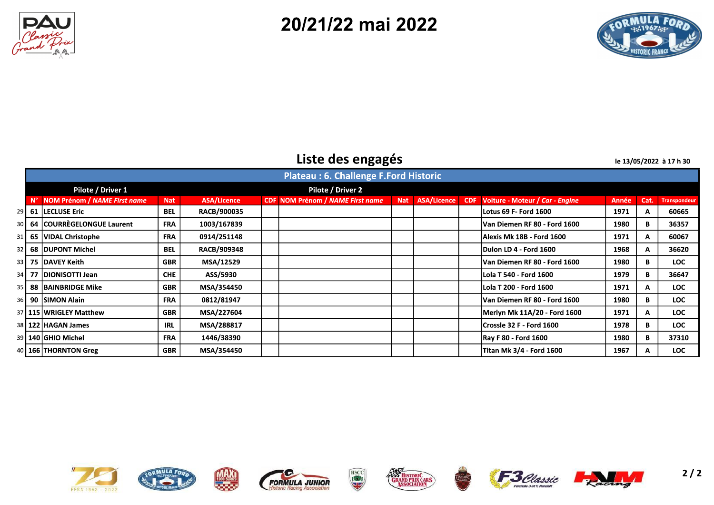



## Liste des engagés

le 13/05/2022 à 17 h 30

|                 |                              |            |                    | <b>Plateau: 6. Challenge F.Ford Historic</b> |            |             |                                            |       |      |                     |
|-----------------|------------------------------|------------|--------------------|----------------------------------------------|------------|-------------|--------------------------------------------|-------|------|---------------------|
|                 | Pilote / Driver 1            |            |                    | Pilote / Driver 2                            |            |             |                                            |       |      |                     |
|                 | NOM Prénom / NAME First name | <b>Nat</b> | ASA/Licence        | <b>CDF NOM Prénom / NAME First name</b>      | <b>Nat</b> | ASA/Licence | <b>CDF</b> Voiture - Moteur / Car - Engine | Année | Cat. | <b>Transpondeur</b> |
| 29              | 61 ILECLUSE Eric             | <b>BEL</b> | <b>RACB/900035</b> |                                              |            |             | Lotus 69 F- Ford 1600                      | 1971  | A    | 60665               |
| 30 <sub>l</sub> | 64 COURRÈGELONGUE Laurent    | <b>FRA</b> | 1003/167839        |                                              |            |             | lVan Diemen RF 80 - Ford 1600              | 1980  | B    | 36357               |
|                 | 31 65   VIDAL Christophe     | <b>FRA</b> | 0914/251148        |                                              |            |             | Alexis Mk 18B - Ford 1600                  | 1971  | A    | 60067               |
| 32              | 68 IDUPONT Michel            | <b>BEL</b> | RACB/909348        |                                              |            |             | Dulon LD 4 - Ford 1600                     | 1968  | A    | 36620               |
|                 | 33 75 DAVEY Keith            | <b>GBR</b> | MSA/12529          |                                              |            |             | lVan Diemen RF 80 - Ford 1600              | 1980  | B    | <b>LOC</b>          |
| 34              | 77   DIONISOTTI Jean         | <b>CHE</b> | ASS/5930           |                                              |            |             | Lola T 540 - Ford 1600                     | 1979  | В    | 36647               |
| 35              | 88 BAINBRIDGE Mike           | <b>GBR</b> | MSA/354450         |                                              |            |             | Lola T 200 - Ford 1600                     | 1971  | A    | <b>LOC</b>          |
| 36              | 90 ISIMON Alain              | <b>FRA</b> | 0812/81947         |                                              |            |             | lVan Diemen RF 80 - Ford 1600              | 1980  | в    | <b>LOC</b>          |
|                 | 37 115 WRIGLEY Matthew       | <b>GBR</b> | MSA/227604         |                                              |            |             | Merlyn Mk 11A/20 - Ford 1600               | 1971  | A    | <b>LOC</b>          |
|                 | 38 122 HAGAN James           | IRL        | MSA/288817         |                                              |            |             | lCrossle 32 F - Ford 1600                  | 1978  | в    | <b>LOC</b>          |
|                 | 39 140 GHIO Michel           | <b>FRA</b> | 1446/38390         |                                              |            |             | <b>Ray F 80 - Ford 1600</b>                | 1980  | B    | 37310               |
|                 | 40 166 THORNTON Greg         | <b>GBR</b> | MSA/354450         |                                              |            |             | Titan Mk 3/4 - Ford 1600                   | 1967  | A    | <b>LOC</b>          |















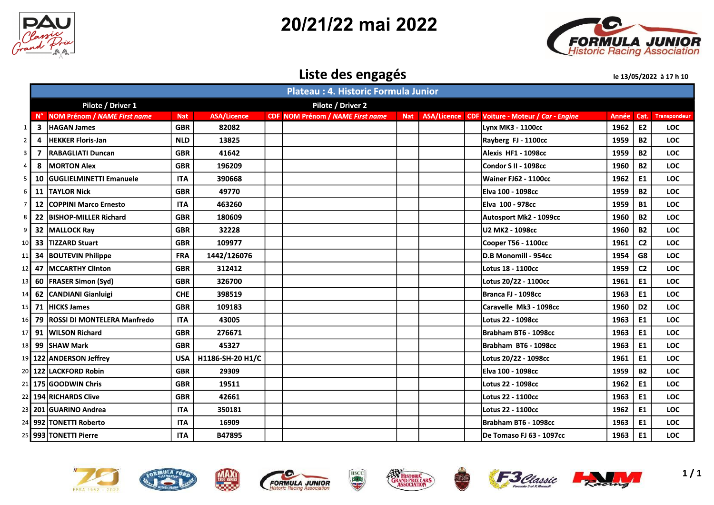



### Liste des engagés

le 13/05/2022 à 17 h 10

|                  |    |                                   |            |                    | Plateau: 4. Historic Formula Junior     |            |                                                 |              |                |                   |
|------------------|----|-----------------------------------|------------|--------------------|-----------------------------------------|------------|-------------------------------------------------|--------------|----------------|-------------------|
|                  |    | Pilote / Driver 1                 |            |                    | Pilote / Driver 2                       |            |                                                 |              |                |                   |
|                  |    | N° NOM Prénom / NAME First name   | <b>Nat</b> | <b>ASA/Licence</b> | <b>CDF</b> NOM Prénom / NAME First name | <b>Nat</b> | ASA/Licence CDF Voiture - Moteur / Car - Engine | <b>Année</b> |                | Cat. Transpondeur |
| $1\phantom{.}$   | -3 | <b>HAGAN James</b>                | <b>GBR</b> | 82082              |                                         |            | Lynx MK3 - 1100cc                               | 1962         | E <sub>2</sub> | <b>LOC</b>        |
| 2 <sub>1</sub>   | -4 | <b>HEKKER Floris-Jan</b>          | <b>NLD</b> | 13825              |                                         |            | Rayberg FJ - 1100cc                             | 1959         | <b>B2</b>      | <b>LOC</b>        |
| 3 <sup>1</sup>   | 7  | <b>RABAGLIATI Duncan</b>          | <b>GBR</b> | 41642              |                                         |            | Alexis HF1 - 1098cc                             | 1959         | <b>B2</b>      | <b>LOC</b>        |
| $4 \overline{ }$ | 8  | <b>IMORTON Alex</b>               | <b>GBR</b> | 196209             |                                         |            | Condor S II - 1098cc                            | 1960         | <b>B2</b>      | <b>LOC</b>        |
| 5                |    | 10 GUGLIELMINETTI Emanuele        | <b>ITA</b> | 390668             |                                         |            | Wainer FJ62 - 1100cc                            | 1962         | E <sub>1</sub> | <b>LOC</b>        |
| 6                |    | 11 TAYLOR Nick                    | <b>GBR</b> | 49770              |                                         |            | Elva 100 - 1098cc                               | 1959         | <b>B2</b>      | <b>LOC</b>        |
| 7 <sup>1</sup>   |    | <b>12 COPPINI Marco Ernesto</b>   | <b>ITA</b> | 463260             |                                         |            | Elva 100 - 978cc                                | 1959         | <b>B1</b>      | <b>LOC</b>        |
| 8                |    | 22 BISHOP-MILLER Richard          | <b>GBR</b> | 180609             |                                         |            | Autosport Mk2 - 1099cc                          | 1960         | <b>B2</b>      | <b>LOC</b>        |
| 9 <sub>1</sub>   |    | 32 MALLOCK Ray                    | <b>GBR</b> | 32228              |                                         |            | U2 MK2 - 1098cc                                 | 1960         | <b>B2</b>      | <b>LOC</b>        |
|                  |    | 10 33 TIZZARD Stuart              | <b>GBR</b> | 109977             |                                         |            | Cooper T56 - 1100cc                             | 1961         | C <sub>2</sub> | <b>LOC</b>        |
|                  |    | 11 34 BOUTEVIN Philippe           | <b>FRA</b> | 1442/126076        |                                         |            | D.B Monomill - 954cc                            | 1954         | G8             | <b>LOC</b>        |
|                  |    | 12 47 MCCARTHY Clinton            | <b>GBR</b> | 312412             |                                         |            | Lotus 18 - 1100cc                               | 1959         | C <sub>2</sub> | <b>LOC</b>        |
|                  |    | 13 60   FRASER Simon (Syd)        | <b>GBR</b> | 326700             |                                         |            | Lotus 20/22 - 1100cc                            | 1961         | E <sub>1</sub> | <b>LOC</b>        |
|                  |    | 14 62 CANDIANI Gianluigi          | <b>CHE</b> | 398519             |                                         |            | Branca FJ - 1098cc                              | 1963         | <b>E1</b>      | <b>LOC</b>        |
|                  |    | 15 71 HICKS James                 | <b>GBR</b> | 109183             |                                         |            | Caravelle Mk3 - 1098cc                          | 1960         | D <sub>2</sub> | <b>LOC</b>        |
|                  |    | 16 79 ROSSI DI MONTELERA Manfredo | <b>ITA</b> | 43005              |                                         |            | <b>Lotus 22 - 1098cc</b>                        | 1963         | E <sub>1</sub> | <b>LOC</b>        |
|                  |    | 17 91 WILSON Richard              | <b>GBR</b> | 276671             |                                         |            | Brabham BT6 - 1098cc                            | 1963         | E <sub>1</sub> | <b>LOC</b>        |
|                  |    | 18 99 SHAW Mark                   | <b>GBR</b> | 45327              |                                         |            | Brabham BT6 - 1098cc                            | 1963         | <b>E1</b>      | <b>LOC</b>        |
|                  |    | 19 122 ANDERSON Jeffrey           | <b>USA</b> | H1186-SH-20 H1/C   |                                         |            | Lotus 20/22 - 1098cc                            | 1961         | E <sub>1</sub> | <b>LOC</b>        |
|                  |    | 20 122 LACKFORD Robin             | <b>GBR</b> | 29309              |                                         |            | Elva 100 - 1098cc                               | 1959         | <b>B2</b>      | <b>LOC</b>        |
|                  |    | 21 175 GOODWIN Chris              | <b>GBR</b> | 19511              |                                         |            | <b>Lotus 22 - 1098cc</b>                        | 1962         | E <sub>1</sub> | <b>LOC</b>        |
|                  |    | 22 194 RICHARDS Clive             | <b>GBR</b> | 42661              |                                         |            | <b>Lotus 22 - 1100cc</b>                        | 1963         | E <sub>1</sub> | <b>LOC</b>        |
|                  |    | 23 201 GUARINO Andrea             | <b>ITA</b> | 350181             |                                         |            | Lotus 22 - 1100cc                               | 1962         | E <sub>1</sub> | <b>LOC</b>        |
|                  |    | 24 992 TONETTI Roberto            | <b>ITA</b> | 16909              |                                         |            | Brabham BT6 - 1098cc                            | 1963         | E <sub>1</sub> | <b>LOC</b>        |
|                  |    | 25 993 TONETTI Pierre             | <b>ITA</b> | B47895             |                                         |            | De Tomaso FJ 63 - 1097cc                        | 1963         | E <sub>1</sub> | <b>LOC</b>        |













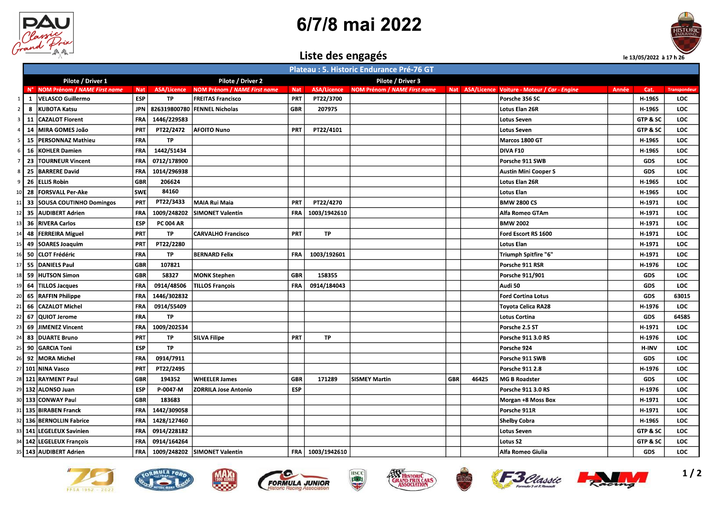

## 6/7/8 mai 2022

#### Liste des engagés



|                         |                                |            |                    |                              |            |                    | Plateau : 5. Historic Endurance Pré-76 GT |     |       |                                                 |       |              |                     |
|-------------------------|--------------------------------|------------|--------------------|------------------------------|------------|--------------------|-------------------------------------------|-----|-------|-------------------------------------------------|-------|--------------|---------------------|
|                         | Pilote / Driver 1              |            |                    | Pilote / Driver 2            |            |                    | Pilote / Driver 3                         |     |       |                                                 |       |              |                     |
|                         | NOM Prénom / NAME First name   | <b>Nat</b> | <b>ASA/Licence</b> | NOM Prénom / NAME First name | <b>Nat</b> | <b>ASA/Licence</b> | NOM Prénom / NAME First name              |     |       | Nat ASA/Licence Voiture - Moteur / Car - Engine | Année | Cat.         | <b>Transpondeur</b> |
| 1                       | VELASCO Guillermo<br>-1        | <b>ESP</b> | <b>TP</b>          | <b>FREITAS Francisco</b>     | <b>PRT</b> | PT22/3700          |                                           |     |       | Porsche 356 SC                                  |       | H-1965       | <b>LOC</b>          |
| $\overline{2}$          | 8 KUBOTA Katsu                 | <b>JPN</b> |                    | 826319800780 FENNEL Nicholas | <b>GBR</b> | 207975             |                                           |     |       | Lotus Elan 26R                                  |       | H-1965       | LOC                 |
| $\overline{\mathbf{3}}$ | <b>CAZALOT Florent</b><br>11   | FRA        | 1446/229583        |                              |            |                    |                                           |     |       | Lotus Seven                                     |       | GTP & SC     | LOC                 |
| $\overline{a}$          | 14 MIRA GOMES João             | PRT        | PT22/2472          | <b>AFOITO Nuno</b>           | PRT        | PT22/4101          |                                           |     |       | Lotus Seven                                     |       | GTP & SC     | LOC                 |
| 5                       | 15<br><b>PERSONNAZ Mathieu</b> | FRA        | TP                 |                              |            |                    |                                           |     |       | Marcos 1800 GT                                  |       | H-1965       | <b>LOC</b>          |
| 6                       | <b>KOHLER Damien</b><br>16     | FRA        | 1442/51434         |                              |            |                    |                                           |     |       | <b>DIVA F10</b>                                 |       | H-1965       | LOC                 |
| $\overline{7}$          | 23<br><b>TOURNEUR Vincent</b>  | FRA        | 0712/178900        |                              |            |                    |                                           |     |       | Porsche 911 SWB                                 |       | <b>GDS</b>   | <b>LOC</b>          |
| 8                       | 25<br><b>BARRERE David</b>     | FRA        | 1014/296938        |                              |            |                    |                                           |     |       | Austin Mini Cooper S                            |       | <b>GDS</b>   | LOC                 |
| 9                       | 26 ELLIS Robin                 | <b>GBR</b> | 206624             |                              |            |                    |                                           |     |       | Lotus Elan 26R                                  |       | H-1965       | LOC                 |
| 10                      | 28 FORSVALL Per-Ake            | <b>SWE</b> | 84160              |                              |            |                    |                                           |     |       | Lotus Elan                                      |       | H-1965       | LOC                 |
| 11                      | 33 SOUSA COUTINHO Domingos     | PRT        | PT22/3433          | <b>MAIA Rui Maia</b>         | PRT        | PT22/4270          |                                           |     |       | <b>BMW 2800 CS</b>                              |       | H-1971       | <b>LOC</b>          |
| 12                      | 35<br><b>AUDIBERT Adrien</b>   | FRA        | 1009/248202        | <b>SIMONET Valentin</b>      | <b>FRA</b> | 1003/1942610       |                                           |     |       | Alfa Romeo GTAm                                 |       | H-1971       | LOC                 |
| 13                      | 36 RIVERA Carlos               | <b>ESP</b> | <b>PC 004 AR</b>   |                              |            |                    |                                           |     |       | <b>BMW 2002</b>                                 |       | H-1971       | LOC                 |
| 14                      | 48 FERREIRA Miguel             | PRT        | TP                 | <b>CARVALHO Francisco</b>    | PRT        | TP                 |                                           |     |       | Ford Escort RS 1600                             |       | H-1971       | LOC                 |
| 15                      | <b>SOARES Joaquim</b><br>49    | PRT        | PT22/2280          |                              |            |                    |                                           |     |       | Lotus Elan                                      |       | H-1971       | LOC                 |
| 16                      | 50 CLOT Frédéric               | FRA        | TP                 | <b>BERNARD Felix</b>         | FRA        | 1003/192601        |                                           |     |       | Triumph Spitfire "6"                            |       | H-1971       | LOC                 |
| 17                      | 55 DANIELS Paul                | <b>GBR</b> | 107821             |                              |            |                    |                                           |     |       | Porsche 911 RSR                                 |       | H-1976       | LOC                 |
| 18                      | 59<br><b>HUTSON Simon</b>      | <b>GBR</b> | 58327              | <b>MONK Stephen</b>          | <b>GBR</b> | 158355             |                                           |     |       | Porsche 911/901                                 |       | <b>GDS</b>   | LOC                 |
| 19                      | <b>TILLOS Jacques</b><br>64    | FRA        | 0914/48506         | <b>TILLOS François</b>       | <b>FRA</b> | 0914/184043        |                                           |     |       | Audi 50                                         |       | GDS          | LOC                 |
| 20                      | 65 RAFFIN Philippe             | FRA        | 1446/302832        |                              |            |                    |                                           |     |       | Ford Cortina Lotus                              |       | <b>GDS</b>   | 63015               |
| 21                      | <b>CAZALOT Michel</b><br>66    | <b>FRA</b> | 0914/55409         |                              |            |                    |                                           |     |       | <b>Toyota Celica RA28</b>                       |       | H-1976       | <b>LOC</b>          |
| 22                      | 67<br>QUIOT Jerome             | FRA        | TP                 |                              |            |                    |                                           |     |       | Lotus Cortina                                   |       | GDS          | 64585               |
| 23                      | 69<br><b>JIMENEZ Vincent</b>   | FRA        | 1009/202534        |                              |            |                    |                                           |     |       | Porsche 2.5 ST                                  |       | H-1971       | LOC                 |
| 24                      | 83 DUARTE Bruno                | <b>PRT</b> | TP                 | <b>SILVA Filipe</b>          | PRT        | TP                 |                                           |     |       | Porsche 911 3.0 RS                              |       | H-1976       | <b>LOC</b>          |
| 25                      | 90   GARCIA Toni               | <b>ESP</b> | <b>TP</b>          |                              |            |                    |                                           |     |       | Porsche 924                                     |       | <b>H-INV</b> | LOC                 |
| 26                      | 92  MORA Michel                | FRA        | 0914/7911          |                              |            |                    |                                           |     |       | Porsche 911 SWB                                 |       | <b>GDS</b>   | LOC                 |
|                         | 27 101 NINA Vasco              | <b>PRT</b> | PT22/2495          |                              |            |                    |                                           |     |       | Porsche 911 2.8                                 |       | H-1976       | LOC                 |
|                         | 28 121 RAYMENT Paul            | GBR        | 194352             | <b>WHEELER James</b>         | <b>GBR</b> | 171289             | <b>SISMEY Martin</b>                      | GBR | 46425 | <b>MG B Roadster</b>                            |       | <b>GDS</b>   | LOC                 |
|                         | 29 132 ALONSO Juan             | <b>ESP</b> | P-0047-M           | <b>ZORRILA Jose Antonio</b>  | <b>ESP</b> |                    |                                           |     |       | Porsche 911 3.0 RS                              |       | H-1976       | LOC                 |
|                         | 30 133 CONWAY Paul             | <b>GBR</b> | 183683             |                              |            |                    |                                           |     |       | Morgan +8 Moss Box                              |       | H-1971       | LOC                 |
|                         | 31 135 BIRABEN Franck          | FRA        | 1442/309058        |                              |            |                    |                                           |     |       | Porsche 911R                                    |       | H-1971       | <b>LOC</b>          |
|                         | 32 136 BERNOLLIN Fabrice       | <b>FRA</b> | 1428/127460        |                              |            |                    |                                           |     |       | <b>Shelby Cobra</b>                             |       | H-1965       | <b>LOC</b>          |
|                         | 33 141 LEGELEUX Savinien       | <b>FRA</b> | 0914/228182        |                              |            |                    |                                           |     |       | Lotus Seven                                     |       | GTP & SC     | <b>LOC</b>          |
|                         | 34 142 LEGELEUX François       | FRA        | 0914/164264        |                              |            |                    |                                           |     |       | Lotus S2                                        |       | GTP & SC     | <b>LOC</b>          |
|                         | 35 143 AUDIBERT Adrien         | <b>FRA</b> |                    | 1009/248202 SIMONET Valentin |            | FRA 1003/1942610   |                                           |     |       | Alfa Romeo Giulia                               |       | <b>GDS</b>   | LOC.                |













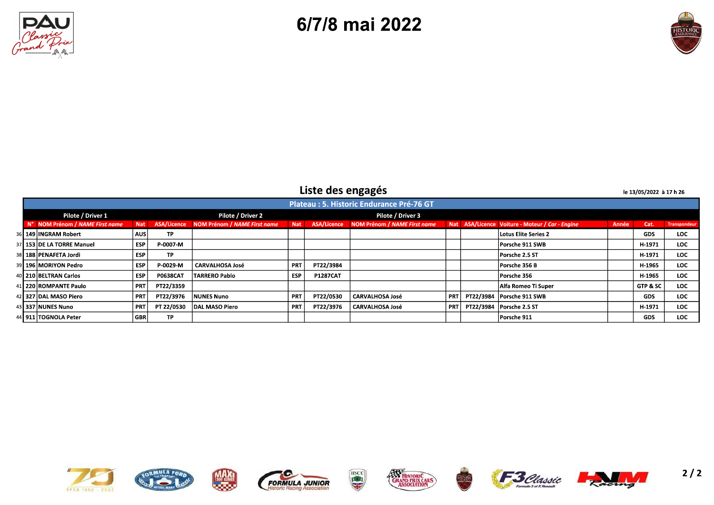

## 6/7/8 mai 2022



### Liste des engagés

le 13/05/2022 à 17 h 26

|  |                              |                 |            |                                          |            |                 | Plateau: 5. Historic Endurance Pré-76 GT |            |                                                 |       |            |              |
|--|------------------------------|-----------------|------------|------------------------------------------|------------|-----------------|------------------------------------------|------------|-------------------------------------------------|-------|------------|--------------|
|  | Pilote / Driver 1            |                 |            | Pilote / Driver 2                        |            |                 | Pilote / Driver 3                        |            |                                                 |       |            |              |
|  | NOM Prénom / NAME First name | <b>Nat</b>      |            | ASA/Licence NOM Prénom / NAME First name |            | Nat ASA/Licence | NOM Prénom / NAME First name             |            | Nat ASA/Licence Voiture - Moteur / Car - Engine | Année | Cat.       | Transpondeur |
|  | 36 149 INGRAM Robert         | <b>AUS</b>      | <b>TP</b>  |                                          |            |                 |                                          |            | Lotus Elite Series 2                            |       | GDS        | LOC.         |
|  | 37 153 DE LA TORRE Manuel    | <b>ESP</b>      | P-0007-M   |                                          |            |                 |                                          |            | Porsche 911 SWB                                 |       | H-1971     | <b>LOC</b>   |
|  | 38 188 PENAFETA Jordi        | <b>ESP</b>      | <b>TP</b>  |                                          |            |                 |                                          |            | Porsche 2.5 ST                                  |       | H-1971     | <b>LOC</b>   |
|  | 39 196 MORIYON Pedro         | <b>ESP</b>      | P-0029-M   | <b>CARVALHOSA José</b>                   | <b>PRT</b> | PT22/3984       |                                          |            | Porsche 356 B                                   |       | H-1965     | LOC.         |
|  | 40 210 BELTRAN Carlos        | <b>ESP</b>      | P0638CA1   | <b>TARRERO Pablo</b>                     | <b>ESP</b> | <b>P1287CAT</b> |                                          |            | Porsche 356                                     |       | H-1965     | <b>LOC</b>   |
|  | 41 220 ROMPANTE Paulo        | <b>PRT</b>      | PT22/3359  |                                          |            |                 |                                          |            | Alfa Romeo Ti Super                             |       | GTP & SC   | <b>LOC</b>   |
|  | 42 327 DAL MASO Piero        | PR <sub>1</sub> | PT22/3976  | <b>NUNES Nuno</b>                        | PRT        | PT22/0530       | l CARVALHOSA José                        | <b>PRT</b> | PT22/3984 Porsche 911 SWB                       |       | GDS        | LOC.         |
|  | 43 337 NUNES Nuno            | PR <sub>1</sub> | PT 22/0530 | DAL MASO Piero                           | <b>PRT</b> | PT22/3976       | CARVALHOSA José                          | <b>PRT</b> | PT22/3984 Porsche 2.5 ST                        |       | H-1971     | <b>LOC</b>   |
|  | 44 911 TOGNOLA Peter         | <b>GBR</b>      | ТP         |                                          |            |                 |                                          |            | Porsche 911                                     |       | <b>GDS</b> | <b>LOC</b>   |